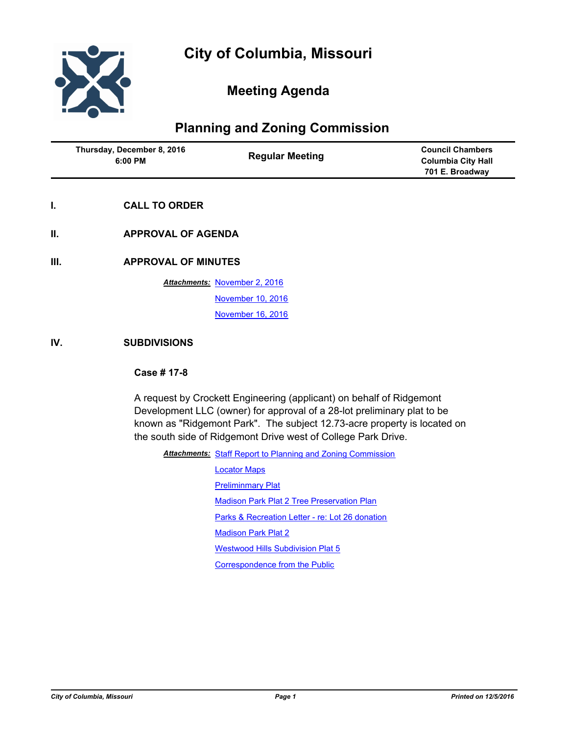

# **Meeting Agenda**

# **Planning and Zoning Commission**

| Thursday, December 8, 2016<br>6:00 PM | <b>Regular Meeting</b> | <b>Council Chambers</b><br><b>Columbia City Hall</b><br>701 E. Broadway |
|---------------------------------------|------------------------|-------------------------------------------------------------------------|
|---------------------------------------|------------------------|-------------------------------------------------------------------------|

- **I. CALL TO ORDER**
- **II. APPROVAL OF AGENDA**

**III. APPROVAL OF MINUTES**

**Attachments: [November 2, 2016](http://gocolumbiamo.legistar.com/gateway.aspx?M=F&ID=65540e5e-2b6b-464c-81db-8c09042f0d07.docx)** [November 10, 2016](http://gocolumbiamo.legistar.com/gateway.aspx?M=F&ID=5ad57aaa-fa79-4b93-9592-53ab4d9d8c69.docx) [November 16, 2016](http://gocolumbiamo.legistar.com/gateway.aspx?M=F&ID=7bd98812-cff6-4dce-a8e6-2780c1677750.docx)

#### **IV. SUBDIVISIONS**

#### **Case # 17-8**

A request by Crockett Engineering (applicant) on behalf of Ridgemont Development LLC (owner) for approval of a 28-lot preliminary plat to be known as "Ridgemont Park". The subject 12.73-acre property is located on the south side of Ridgemont Drive west of College Park Drive.

Attachments: [Staff Report to Planning and Zoning Commission](http://gocolumbiamo.legistar.com/gateway.aspx?M=F&ID=13ac4c3e-9ce4-4cd8-bdbc-ace5548ac623.docx)

[Locator Maps](http://gocolumbiamo.legistar.com/gateway.aspx?M=F&ID=49efd77c-c58e-4ce6-bb1a-0e383dc53f99.pdf) **[Preliminmary Plat](http://gocolumbiamo.legistar.com/gateway.aspx?M=F&ID=a5f2151e-60f5-4740-be83-418bfaffa6d9.pdf)** [Madison Park Plat 2 Tree Preservation Plan](http://gocolumbiamo.legistar.com/gateway.aspx?M=F&ID=5e5f4949-6771-4d79-9579-d5f8d5228f78.pdf) [Parks & Recreation Letter - re: Lot 26 donation](http://gocolumbiamo.legistar.com/gateway.aspx?M=F&ID=7b65ffa6-1e64-4a0c-9705-350d9b109c07.pdf) **[Madison Park Plat 2](http://gocolumbiamo.legistar.com/gateway.aspx?M=F&ID=f88901f9-5087-4d16-8209-9b375ac740b0.pdf)** [Westwood Hills Subdivision Plat 5](http://gocolumbiamo.legistar.com/gateway.aspx?M=F&ID=f6cb42d1-a400-4fc1-a3cc-6f0a4b7bbe9f.pdf) [Correspondence from the Public](http://gocolumbiamo.legistar.com/gateway.aspx?M=F&ID=9e569de4-4e7b-42bb-bdf7-8cccb3de969e.pdf)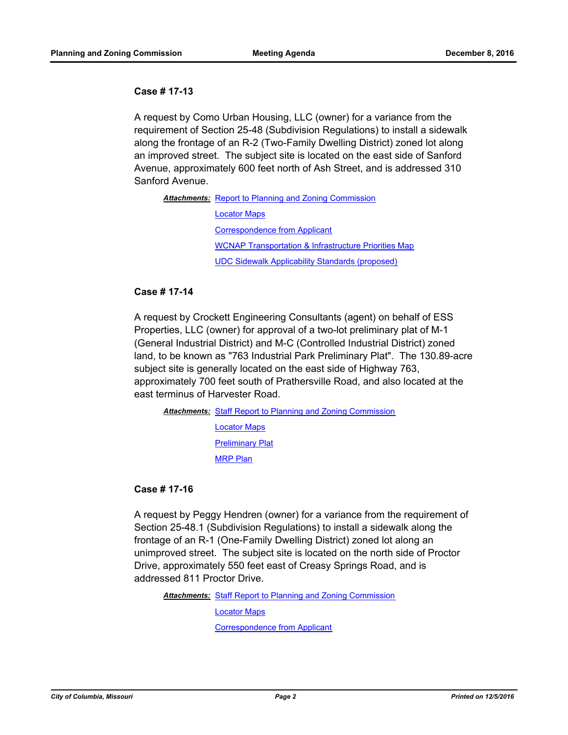#### **Case # 17-13**

A request by Como Urban Housing, LLC (owner) for a variance from the requirement of Section 25-48 (Subdivision Regulations) to install a sidewalk along the frontage of an R-2 (Two-Family Dwelling District) zoned lot along an improved street. The subject site is located on the east side of Sanford Avenue, approximately 600 feet north of Ash Street, and is addressed 310 Sanford Avenue.

Attachments: [Report to Planning and Zoning Commission](http://gocolumbiamo.legistar.com/gateway.aspx?M=F&ID=542e3053-815a-4812-b0c9-2375f15de962.pdf) [Locator Maps](http://gocolumbiamo.legistar.com/gateway.aspx?M=F&ID=4b55a2b8-4f64-4936-b802-c76d5f712758.pdf) [Correspondence from Applicant](http://gocolumbiamo.legistar.com/gateway.aspx?M=F&ID=1305dc03-3f12-46fe-8a87-4596037478f0.pdf) [WCNAP Transportation & Infrastructure Priorities Map](http://gocolumbiamo.legistar.com/gateway.aspx?M=F&ID=37f2d0ad-36b7-4d6d-ae1d-989a299f19fb.pdf) [UDC Sidewalk Applicability Standards \(proposed\)](http://gocolumbiamo.legistar.com/gateway.aspx?M=F&ID=d2b4d7f9-74a8-486d-9898-4f77074a219b.pdf)

#### **Case # 17-14**

A request by Crockett Engineering Consultants (agent) on behalf of ESS Properties, LLC (owner) for approval of a two-lot preliminary plat of M-1 (General Industrial District) and M-C (Controlled Industrial District) zoned land, to be known as "763 Industrial Park Preliminary Plat". The 130.89-acre subject site is generally located on the east side of Highway 763, approximately 700 feet south of Prathersville Road, and also located at the east terminus of Harvester Road.

Attachments: [Staff Report to Planning and Zoning Commission](http://gocolumbiamo.legistar.com/gateway.aspx?M=F&ID=db5d8723-e6ed-4ca7-87f8-94dc5b934c0e.pdf)

[Locator Maps](http://gocolumbiamo.legistar.com/gateway.aspx?M=F&ID=b6939682-7c33-4297-aacc-e742e9915ee8.pdf) [Preliminary Plat](http://gocolumbiamo.legistar.com/gateway.aspx?M=F&ID=558f001d-2821-479e-a36b-90bb8ee5e2d1.pdf) [MRP Plan](http://gocolumbiamo.legistar.com/gateway.aspx?M=F&ID=d4bfb23d-a0c9-448b-bb3e-1b1fcef2cad7.pdf)

# **Case # 17-16**

A request by Peggy Hendren (owner) for a variance from the requirement of Section 25-48.1 (Subdivision Regulations) to install a sidewalk along the frontage of an R-1 (One-Family Dwelling District) zoned lot along an unimproved street. The subject site is located on the north side of Proctor Drive, approximately 550 feet east of Creasy Springs Road, and is addressed 811 Proctor Drive.

Attachments: [Staff Report to Planning and Zoning Commission](http://gocolumbiamo.legistar.com/gateway.aspx?M=F&ID=900c089b-5bff-4900-a516-d7a7381c3f56.pdf)

[Locator Maps](http://gocolumbiamo.legistar.com/gateway.aspx?M=F&ID=1a1cb103-abcd-463f-a37f-e8e0bb868b2c.pdf)

[Correspondence from Applicant](http://gocolumbiamo.legistar.com/gateway.aspx?M=F&ID=cbdb574d-d026-49e5-9a69-65c52ba6ccdf.pdf)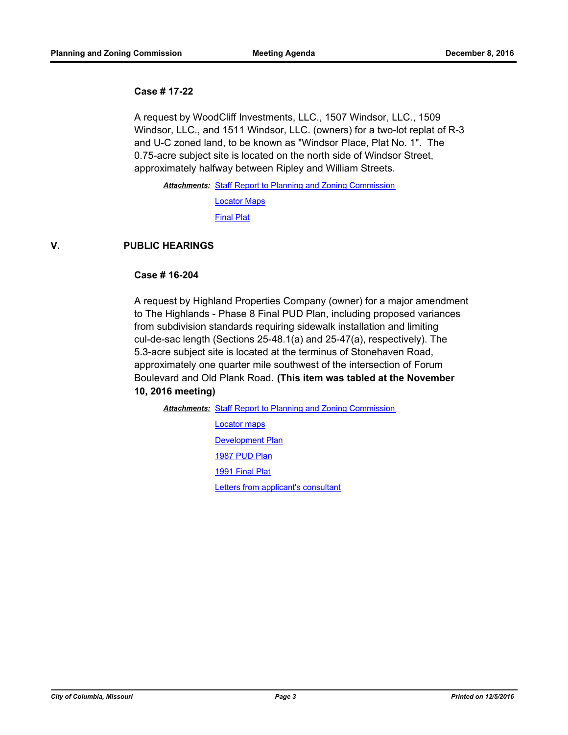#### **Case # 17-22**

A request by WoodCliff Investments, LLC., 1507 Windsor, LLC., 1509 Windsor, LLC., and 1511 Windsor, LLC. (owners) for a two-lot replat of R-3 and U-C zoned land, to be known as "Windsor Place, Plat No. 1". The 0.75-acre subject site is located on the north side of Windsor Street, approximately halfway between Ripley and William Streets.

Attachments: [Staff Report to Planning and Zoning Commission](http://gocolumbiamo.legistar.com/gateway.aspx?M=F&ID=c15bd978-df5d-4829-95bb-3e24a6100916.pdf) [Locator Maps](http://gocolumbiamo.legistar.com/gateway.aspx?M=F&ID=91ceb076-cb91-4222-a1c8-09e5ba9fcf0c.pdf) [Final Plat](http://gocolumbiamo.legistar.com/gateway.aspx?M=F&ID=d0e1a7ae-5cc7-47d6-a676-a2d141fd1e71.pdf)

# **V. PUBLIC HEARINGS**

### **Case # 16-204**

A request by Highland Properties Company (owner) for a major amendment to The Highlands - Phase 8 Final PUD Plan, including proposed variances from subdivision standards requiring sidewalk installation and limiting cul-de-sac length (Sections 25-48.1(a) and 25-47(a), respectively). The 5.3-acre subject site is located at the terminus of Stonehaven Road, approximately one quarter mile southwest of the intersection of Forum Boulevard and Old Plank Road. **(This item was tabled at the November** 

# **10, 2016 meeting)**

Attachments: [Staff Report to Planning and Zoning Commission](http://gocolumbiamo.legistar.com/gateway.aspx?M=F&ID=ca9aa959-e0ba-4cc5-b81e-c6a84fb1e10b.pdf)

[Locator maps](http://gocolumbiamo.legistar.com/gateway.aspx?M=F&ID=1c04b1ce-026e-49c2-b381-c9ac62b374f9.pdf) **[Development Plan](http://gocolumbiamo.legistar.com/gateway.aspx?M=F&ID=18b63611-6f27-4623-b046-41626c02d0c0.pdf)** [1987 PUD Plan](http://gocolumbiamo.legistar.com/gateway.aspx?M=F&ID=1fdf39c2-f4ad-4dc7-9c1e-a5359e7fb7ab.pdf) [1991 Final Plat](http://gocolumbiamo.legistar.com/gateway.aspx?M=F&ID=75d8d219-d31e-45b5-9a97-c681a39f579a.pdf) [Letters from applicant's consultant](http://gocolumbiamo.legistar.com/gateway.aspx?M=F&ID=a80b86cb-4fe8-41e0-b114-e4b73be0065d.pdf)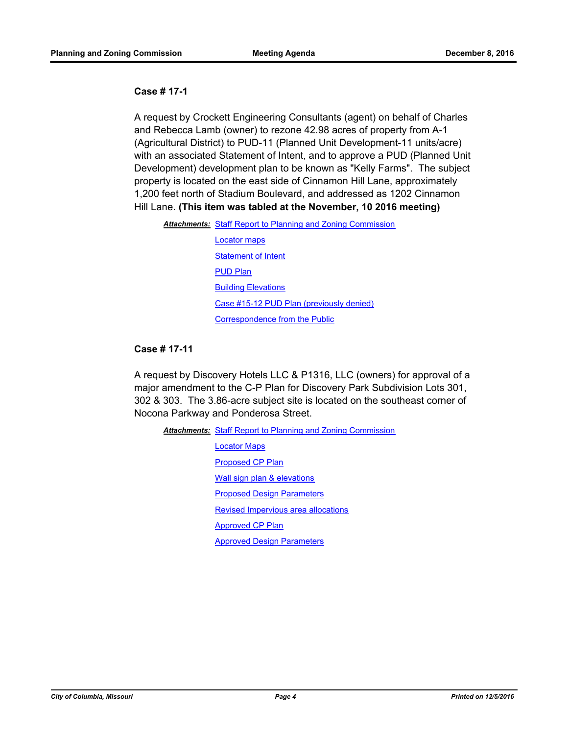#### **Case # 17-1**

A request by Crockett Engineering Consultants (agent) on behalf of Charles and Rebecca Lamb (owner) to rezone 42.98 acres of property from A-1 (Agricultural District) to PUD-11 (Planned Unit Development-11 units/acre) with an associated Statement of Intent, and to approve a PUD (Planned Unit Development) development plan to be known as "Kelly Farms". The subject property is located on the east side of Cinnamon Hill Lane, approximately 1,200 feet north of Stadium Boulevard, and addressed as 1202 Cinnamon Hill Lane. **(This item was tabled at the November, 10 2016 meeting)**

| <b>Attachments:</b> Staff Report to Planning and Zoning Commission |  |
|--------------------------------------------------------------------|--|
|--------------------------------------------------------------------|--|

[Locator maps](http://gocolumbiamo.legistar.com/gateway.aspx?M=F&ID=3c407848-c0e7-4b31-ba23-a8189da2a0c8.pdf) **[Statement of Intent](http://gocolumbiamo.legistar.com/gateway.aspx?M=F&ID=7325f344-f0e3-4934-ac29-88ff776eb313.pdf)** [PUD Plan](http://gocolumbiamo.legistar.com/gateway.aspx?M=F&ID=dcd97034-d26f-4918-ba4c-a1f6a5a05eb5.pdf) **[Building Elevations](http://gocolumbiamo.legistar.com/gateway.aspx?M=F&ID=e532f2af-1c6a-46e8-849c-c924e0cec713.pdf)** [Case #15-12 PUD Plan \(previously denied\)](http://gocolumbiamo.legistar.com/gateway.aspx?M=F&ID=09fe9356-8993-403f-a67e-cd7d50de87a4.pdf) [Correspondence from the Public](http://gocolumbiamo.legistar.com/gateway.aspx?M=F&ID=76bed91f-fe5f-4607-ad30-02eb8ea74868.pdf)

# **Case # 17-11**

A request by Discovery Hotels LLC & P1316, LLC (owners) for approval of a major amendment to the C-P Plan for Discovery Park Subdivision Lots 301, 302 & 303. The 3.86-acre subject site is located on the southeast corner of Nocona Parkway and Ponderosa Street.

Attachments: [Staff Report to Planning and Zoning Commission](http://gocolumbiamo.legistar.com/gateway.aspx?M=F&ID=8fc1e4aa-2cdb-40bb-9f52-7e4346a6b381.pdf) [Locator Maps](http://gocolumbiamo.legistar.com/gateway.aspx?M=F&ID=07fbbc16-9561-4932-b12d-11f6ef9d5562.pdf) [Proposed CP Plan](http://gocolumbiamo.legistar.com/gateway.aspx?M=F&ID=bbea8fa3-a416-4389-9ad8-769e649c4995.pdf) [Wall sign plan & elevations](http://gocolumbiamo.legistar.com/gateway.aspx?M=F&ID=f6046822-d952-4667-91f3-a5ef516c1146.PDF) [Proposed Design Parameters](http://gocolumbiamo.legistar.com/gateway.aspx?M=F&ID=842aabf9-0cee-4827-9244-f6d702b4f9b1.pdf) [Revised Impervious area allocations](http://gocolumbiamo.legistar.com/gateway.aspx?M=F&ID=7d8a5eb8-15bf-4987-9599-46a94e8d8c92.pdf) [Approved CP Plan](http://gocolumbiamo.legistar.com/gateway.aspx?M=F&ID=1c3ba408-cdab-4992-91d6-b88645812926.pdf) [Approved Design Parameters](http://gocolumbiamo.legistar.com/gateway.aspx?M=F&ID=b9f10c62-e3a3-46fe-88ef-cadb8e4f4635.pdf)